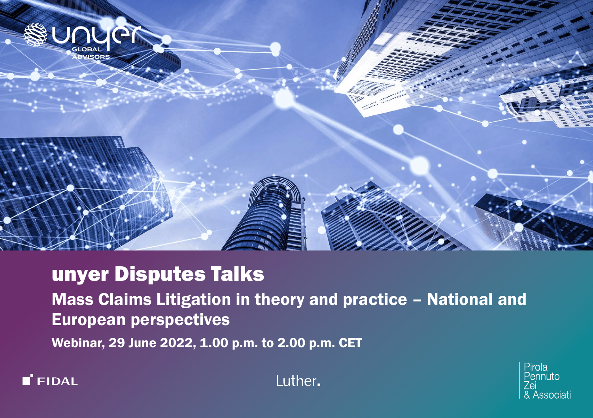

## unyer Disputes Talks

Mass Claims Litigation in theory and practice – National and European perspectives

Webinar, 29 June 2022, 1.00 p.m. to 2.00 p.m. CET



Luther.

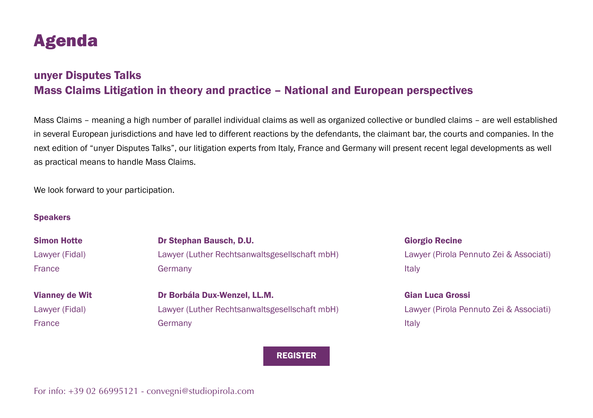## Agenda

## unyer Disputes Talks Mass Claims Litigation in theory and practice – National and European perspectives

Mass Claims – meaning a high number of parallel individual claims as well as organized collective or bundled claims – are well established in several European jurisdictions and have led to different reactions by the defendants, the claimant bar, the courts and companies. In the next edition of "unyer Disputes Talks", our litigation experts from Italy, France and Germany will present recent legal developments as well as practical means to handle Mass Claims.

We look forward to your participation.

## **Speakers**

| <b>Simon Hotte</b> | Dr Stephan Bausch, D.U.                       |
|--------------------|-----------------------------------------------|
| Lawyer (Fidal)     | Lawyer (Luther Rechtsanwaltsgesellschaft mbH) |
| France             | Germany                                       |

Vianney de Wit Lawyer (Fidal) France

Dr Borbála Dux-Wenzel, LL.M. Lawyer (Luther Rechtsanwaltsgesellschaft mbH) **Germany** 

[REGISTER](https://forms.gle/i37LtaECruAFH2YN9)

Giorgio Recine Lawyer (Pirola Pennuto Zei & Associati) Italy

Gian Luca Grossi Lawyer (Pirola Pennuto Zei & Associati) Italy